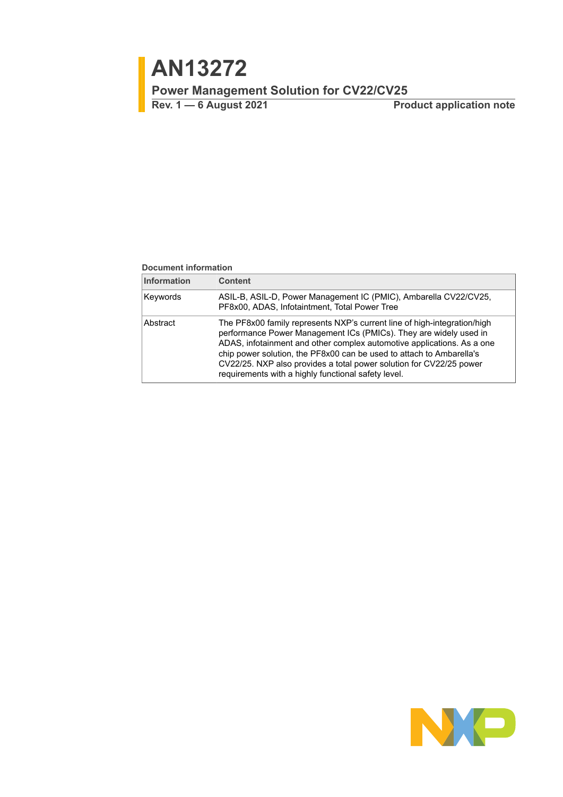# <span id="page-0-0"></span>**AN13272**

**Power Management Solution for CV22/CV25**

**Rev. 1 — 6 August 2021 Product application note**

#### **Document information**

| <b>Information</b> | <b>Content</b>                                                                                                                                                                                                                                                                                                                                                                                                                |
|--------------------|-------------------------------------------------------------------------------------------------------------------------------------------------------------------------------------------------------------------------------------------------------------------------------------------------------------------------------------------------------------------------------------------------------------------------------|
| Keywords           | ASIL-B, ASIL-D, Power Management IC (PMIC), Ambarella CV22/CV25,<br>PF8x00, ADAS, Infotaintment, Total Power Tree                                                                                                                                                                                                                                                                                                             |
| Abstract           | The PF8x00 family represents NXP's current line of high-integration/high<br>performance Power Management ICs (PMICs). They are widely used in<br>ADAS, infotainment and other complex automotive applications. As a one<br>chip power solution, the PF8x00 can be used to attach to Ambarella's<br>CV22/25. NXP also provides a total power solution for CV22/25 power<br>requirements with a highly functional safety level. |

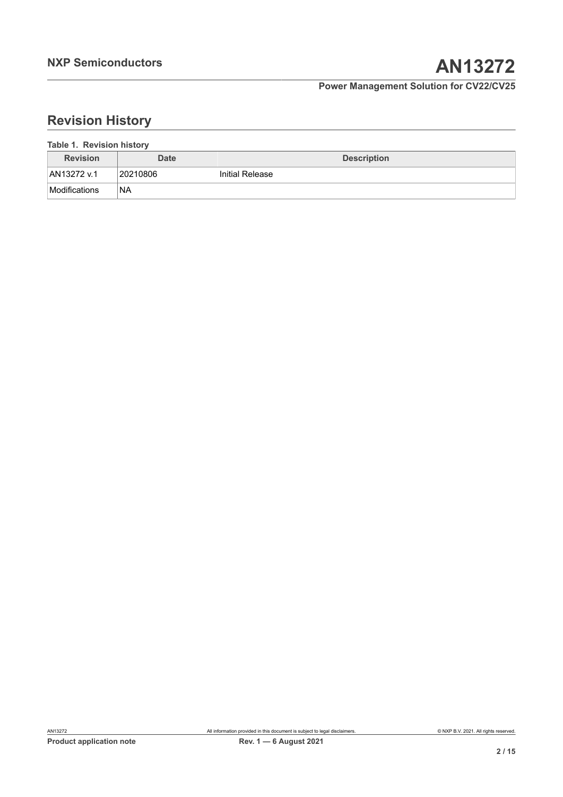# **Revision History**

<span id="page-1-0"></span>

| Table 1. Revision history |  |
|---------------------------|--|
|                           |  |

| <b>Revision</b> | <b>Date</b> | <b>Description</b> |
|-----------------|-------------|--------------------|
| AN13272 v.1     | 20210806    | Initial Release    |
| Modifications   | 'NA         |                    |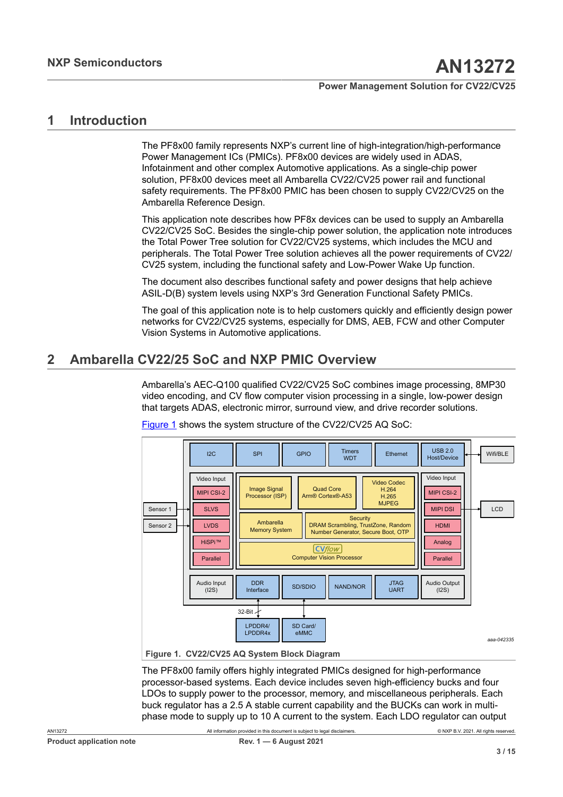## <span id="page-2-1"></span>**1 Introduction**

The PF8x00 family represents NXP's current line of high-integration/high-performance Power Management ICs (PMICs). PF8x00 devices are widely used in ADAS, Infotainment and other complex Automotive applications. As a single-chip power solution, PF8x00 devices meet all Ambarella CV22/CV25 power rail and functional safety requirements. The PF8x00 PMIC has been chosen to supply CV22/CV25 on the Ambarella Reference Design.

This application note describes how PF8x devices can be used to supply an Ambarella CV22/CV25 SoC. Besides the single-chip power solution, the application note introduces the Total Power Tree solution for CV22/CV25 systems, which includes the MCU and peripherals. The Total Power Tree solution achieves all the power requirements of CV22/ CV25 system, including the functional safety and Low-Power Wake Up function.

The document also describes functional safety and power designs that help achieve ASIL-D(B) system levels using NXP's 3rd Generation Functional Safety PMICs.

The goal of this application note is to help customers quickly and efficiently design power networks for CV22/CV25 systems, especially for DMS, AEB, FCW and other Computer Vision Systems in Automotive applications.

## <span id="page-2-2"></span>**2 Ambarella CV22/25 SoC and NXP PMIC Overview**

Ambarella's AEC-Q100 qualified CV22/CV25 SoC combines image processing, 8MP30 video encoding, and CV flow computer vision processing in a single, low-power design that targets ADAS, electronic mirror, surround view, and drive recorder solutions.

<span id="page-2-0"></span>

[Figure 1](#page-2-0) shows the system structure of the CV22/CV25 AQ SoC:

**Figure 1. CV22/CV25 AQ System Block Diagram**

The PF8x00 family offers highly integrated PMICs designed for high-performance processor-based systems. Each device includes seven high-efficiency bucks and four LDOs to supply power to the processor, memory, and miscellaneous peripherals. Each buck regulator has a 2.5 A stable current capability and the BUCKs can work in multiphase mode to supply up to 10 A current to the system. Each LDO regulator can output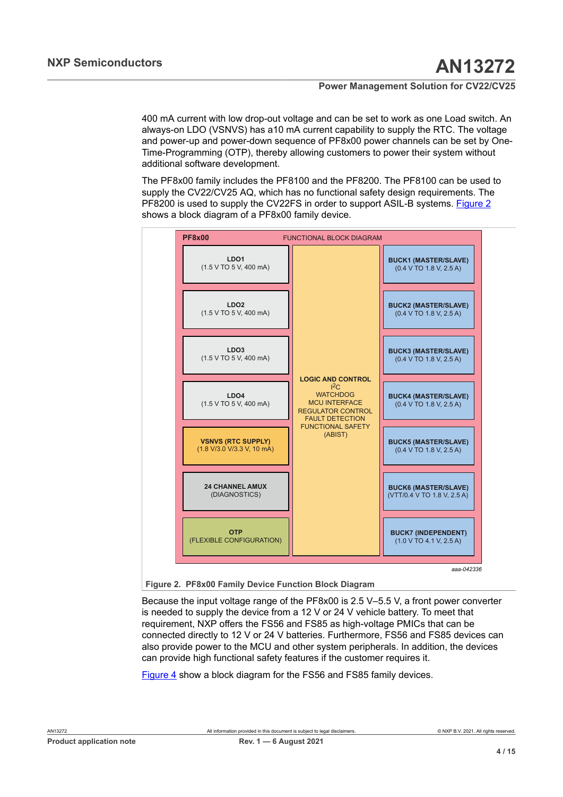400 mA current with low drop-out voltage and can be set to work as one Load switch. An always-on LDO (VSNVS) has a10 mA current capability to supply the RTC. The voltage and power-up and power-down sequence of PF8x00 power channels can be set by One-Time-Programming (OTP), thereby allowing customers to power their system without additional software development.

The PF8x00 family includes the PF8100 and the PF8200. The PF8100 can be used to supply the CV22/CV25 AQ, which has no functional safety design requirements. The PF8200 is used to supply the CV22FS in order to support ASIL-B systems. [Figure 2](#page-3-0) shows a block diagram of a PF8x00 family device.

<span id="page-3-0"></span>

**Figure 2. PF8x00 Family Device Function Block Diagram**

Because the input voltage range of the PF8x00 is 2.5 V–5.5 V, a front power converter is needed to supply the device from a 12 V or 24 V vehicle battery. To meet that requirement, NXP offers the FS56 and FS85 as high-voltage PMICs that can be connected directly to 12 V or 24 V batteries. Furthermore, FS56 and FS85 devices can also provide power to the MCU and other system peripherals. In addition, the devices can provide high functional safety features if the customer requires it.

[Figure 4](#page-4-0) show a block diagram for the FS56 and FS85 family devices.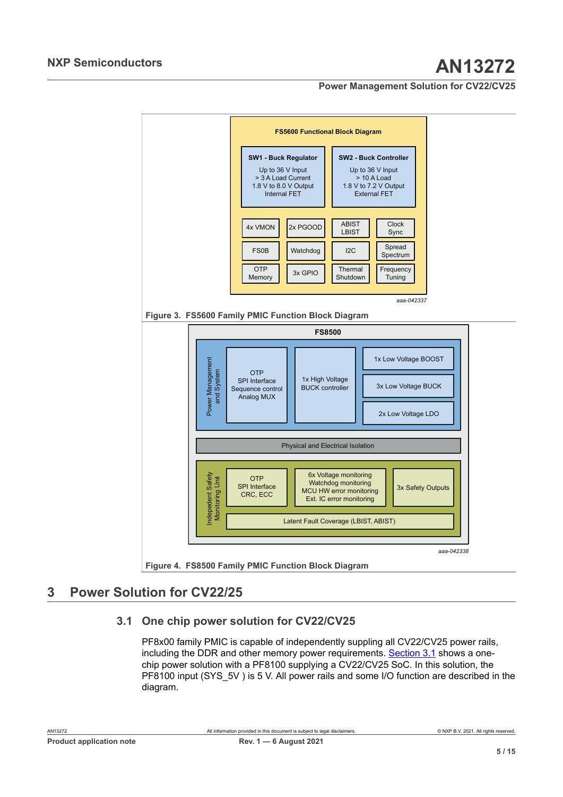<span id="page-4-2"></span><span id="page-4-0"></span>

### **Figure 4. FS8500 Family PMIC Function Block Diagram**

## <span id="page-4-3"></span>**3 Power Solution for CV22/25**

### **3.1 One chip power solution for CV22/CV25**

<span id="page-4-1"></span>PF8x00 family PMIC is capable of independently suppling all CV22/CV25 power rails, including the DDR and other memory power requirements. [Section 3.1](#page-4-1) shows a onechip power solution with a PF8100 supplying a CV22/CV25 SoC. In this solution, the PF8100 input (SYS 5V ) is 5 V. All power rails and some I/O function are described in the diagram.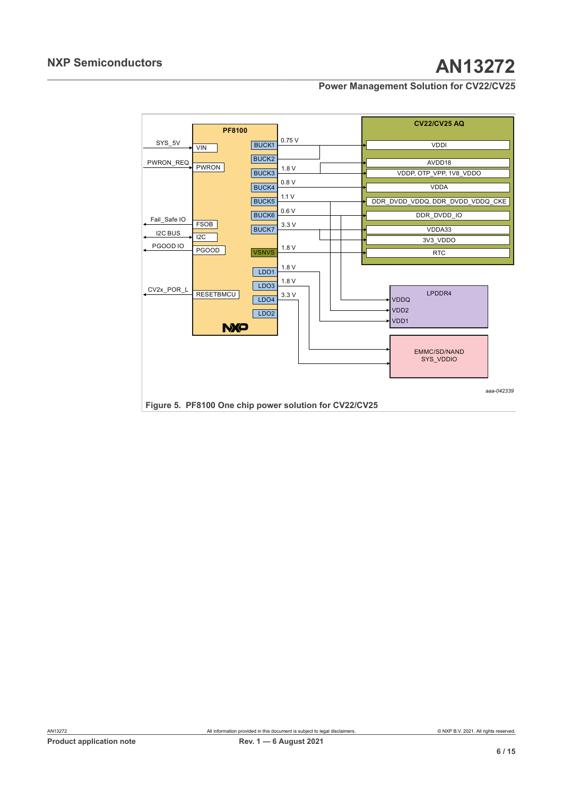<span id="page-5-0"></span>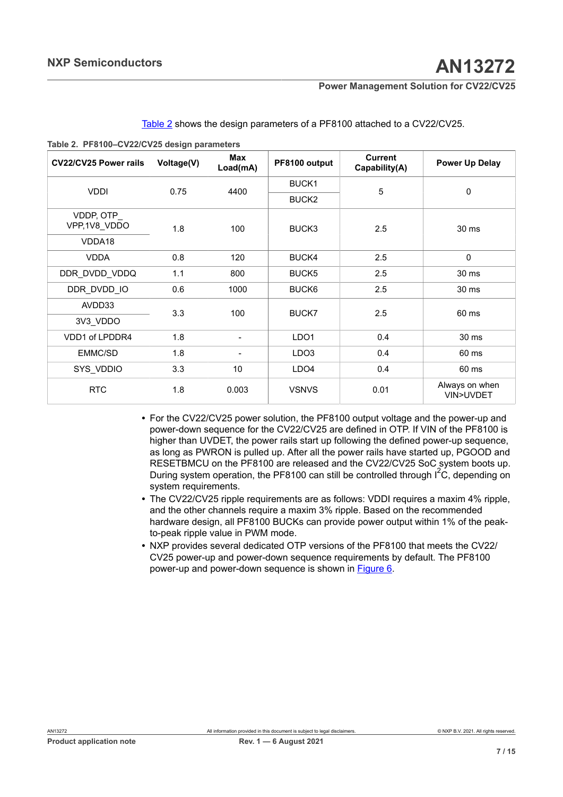| CV22/CV25 Power rails     | Voltage(V) | <b>Max</b><br>Load(mA) | PF8100 output     | <b>Current</b><br>Capability(A) | <b>Power Up Delay</b>       |  |
|---------------------------|------------|------------------------|-------------------|---------------------------------|-----------------------------|--|
| <b>VDDI</b>               | 0.75       | 4400                   | BUCK1             | 5                               |                             |  |
|                           |            |                        | BUCK <sub>2</sub> |                                 | $\mathbf 0$                 |  |
| VDDP, OTP<br>VPP,1V8 VDDO | 1.8        | 100                    | BUCK3             | 2.5                             | 30 ms                       |  |
| VDDA18                    |            |                        |                   |                                 |                             |  |
| <b>VDDA</b>               | 0.8        | 120                    | BUCK4             | 2.5                             | $\mathbf 0$                 |  |
| DDR DVDD VDDQ             | 1.1        | 800                    | BUCK <sub>5</sub> | 2.5                             | 30 ms                       |  |
| DDR DVDD IO               | 0.6        | 1000                   | BUCK <sub>6</sub> | 2.5                             | 30 ms                       |  |
| AVDD33                    | 3.3        | 100                    | BUCK7             | 2.5                             | 60 ms                       |  |
| 3V3_VDDO                  |            |                        |                   |                                 |                             |  |
| VDD1 of LPDDR4            | 1.8        | $\blacksquare$         | LDO <sub>1</sub>  | 0.4                             | 30 ms                       |  |
| EMMC/SD                   | 1.8        |                        | LDO <sub>3</sub>  | 0.4                             | 60 ms                       |  |
| SYS_VDDIO                 | 3.3        | 10                     | LDO4              | 0.4                             | 60 ms                       |  |
| <b>RTC</b>                | 1.8        | 0.003                  | <b>VSNVS</b>      | 0.01                            | Always on when<br>VIN>UVDET |  |

<span id="page-6-0"></span>[Table](#page-6-0) 2 shows the design parameters of a PF8100 attached to a CV22/CV25.

**Table 2. PF8100–CV22/CV25 design parameters**

- **•** For the CV22/CV25 power solution, the PF8100 output voltage and the power-up and power-down sequence for the CV22/CV25 are defined in OTP. If VIN of the PF8100 is higher than UVDET, the power rails start up following the defined power-up sequence, as long as PWRON is pulled up. After all the power rails have started up, PGOOD and RESETBMCU on the PF8100 are released and the CV22/CV25 SoC system boots up. During system operation, the PF8100 can still be controlled through  $I^2C$ , depending on system requirements.
- **•** The CV22/CV25 ripple requirements are as follows: VDDI requires a maxim 4% ripple, and the other channels require a maxim 3% ripple. Based on the recommended hardware design, all PF8100 BUCKs can provide power output within 1% of the peakto-peak ripple value in PWM mode.
- **•** NXP provides several dedicated OTP versions of the PF8100 that meets the CV22/ CV25 power-up and power-down sequence requirements by default. The PF8100 power-up and power-down sequence is shown in [Figure 6.](#page-7-0)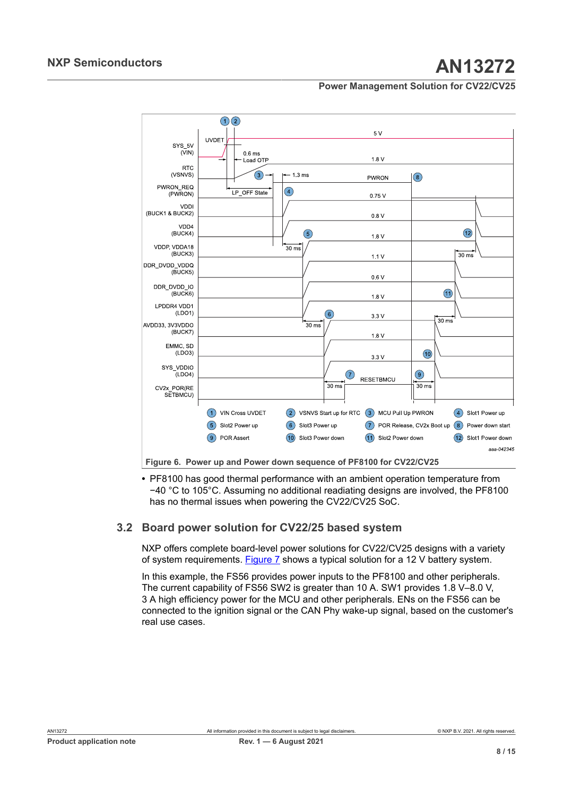## **NXP Semiconductors AN13272**

### **Power Management Solution for CV22/CV25**

<span id="page-7-0"></span>

Figure 6. Power up and Power down sequence of PF8100 for CV22/CV25

**•** PF8100 has good thermal performance with an ambient operation temperature from −40 °C to 105°C. Assuming no additional readiating designs are involved, the PF8100 has no thermal issues when powering the CV22/CV25 SoC.

### **3.2 Board power solution for CV22/25 based system**

<span id="page-7-1"></span>NXP offers complete board-level power solutions for CV22/CV25 designs with a variety of system requirements. [Figure 7](#page-8-0) shows a typical solution for a 12 V battery system.

In this example, the FS56 provides power inputs to the PF8100 and other peripherals. The current capability of FS56 SW2 is greater than 10 A. SW1 provides 1.8 V–8.0 V, 3 A high efficiency power for the MCU and other peripherals. ENs on the FS56 can be connected to the ignition signal or the CAN Phy wake-up signal, based on the customer's real use cases.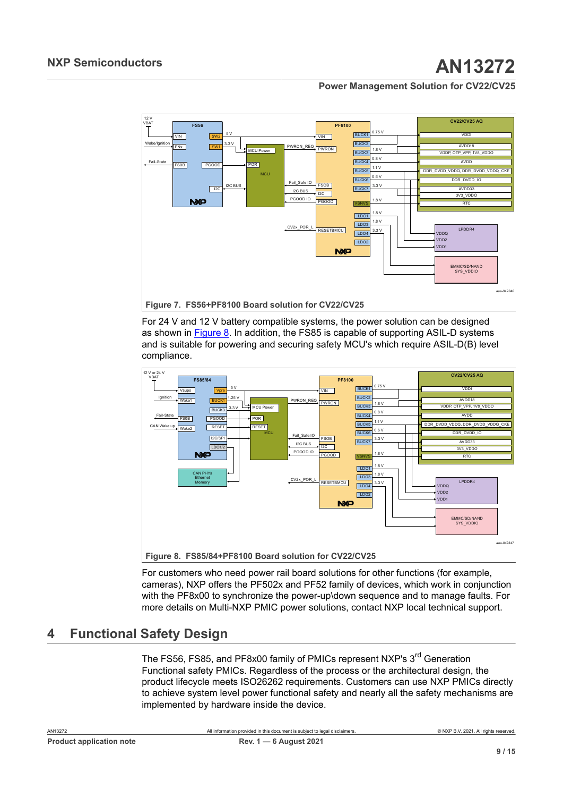<span id="page-8-0"></span>

**Figure 7. FS56+PF8100 Board solution for CV22/CV25**

For 24 V and 12 V battery compatible systems, the power solution can be designed as shown in **[Figure 8](#page-8-1)**. In addition, the FS85 is capable of supporting ASIL-D systems and is suitable for powering and securing safety MCU's which require ASIL-D(B) level compliance.

<span id="page-8-1"></span>

For customers who need power rail board solutions for other functions (for example, cameras), NXP offers the PF502x and PF52 family of devices, which work in conjunction with the PF8x00 to synchronize the power-up\down sequence and to manage faults. For more details on Multi-NXP PMIC power solutions, contact NXP local technical support.

## <span id="page-8-2"></span>**4 Functional Safety Design**

The FS56, FS85, and PF8x00 family of PMICs represent NXP's 3<sup>rd</sup> Generation Functional safety PMICs. Regardless of the process or the architectural design, the product lifecycle meets ISO26262 requirements. Customers can use NXP PMICs directly to achieve system level power functional safety and nearly all the safety mechanisms are implemented by hardware inside the device.

| AN13272 |                                 |  |
|---------|---------------------------------|--|
|         | <b>Product application note</b> |  |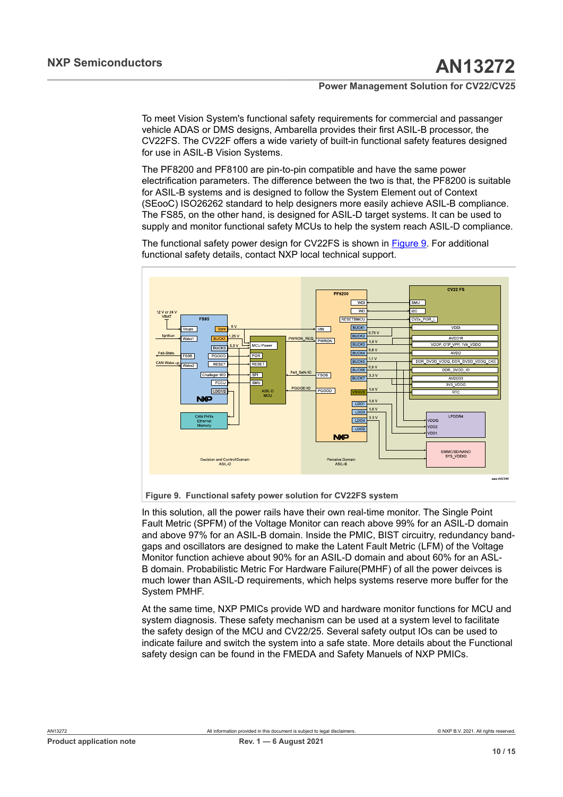To meet Vision System's functional safety requirements for commercial and passanger vehicle ADAS or DMS designs, Ambarella provides their first ASIL-B processor, the CV22FS. The CV22F offers a wide variety of built-in functional safety features designed for use in ASIL-B Vision Systems.

The PF8200 and PF8100 are pin-to-pin compatible and have the same power electrification parameters. The difference between the two is that, the PF8200 is suitable for ASIL-B systems and is designed to follow the System Element out of Context (SEooC) ISO26262 standard to help designers more easily achieve ASIL-B compliance. The FS85, on the other hand, is designed for ASIL-D target systems. It can be used to supply and monitor functional safety MCUs to help the system reach ASIL-D compliance.

The functional safety power design for CV22FS is shown in [Figure 9](#page-9-0). For additional functional safety details, contact NXP local technical support.

<span id="page-9-0"></span>

In this solution, all the power rails have their own real-time monitor. The Single Point Fault Metric (SPFM) of the Voltage Monitor can reach above 99% for an ASIL-D domain and above 97% for an ASIL-B domain. Inside the PMIC, BIST circuitry, redundancy bandgaps and oscillators are designed to make the Latent Fault Metric (LFM) of the Voltage Monitor function achieve about 90% for an ASIL-D domain and about 60% for an ASL-B domain. Probabilistic Metric For Hardware Failure(PMHF) of all the power deivces is

At the same time, NXP PMICs provide WD and hardware monitor functions for MCU and system diagnosis. These safety mechanism can be used at a system level to facilitate the safety design of the MCU and CV22/25. Several safety output IOs can be used to indicate failure and switch the system into a safe state. More details about the Functional safety design can be found in the FMEDA and Safety Manuels of NXP PMICs.

much lower than ASIL-D requirements, which helps systems reserve more buffer for the

System PMHF.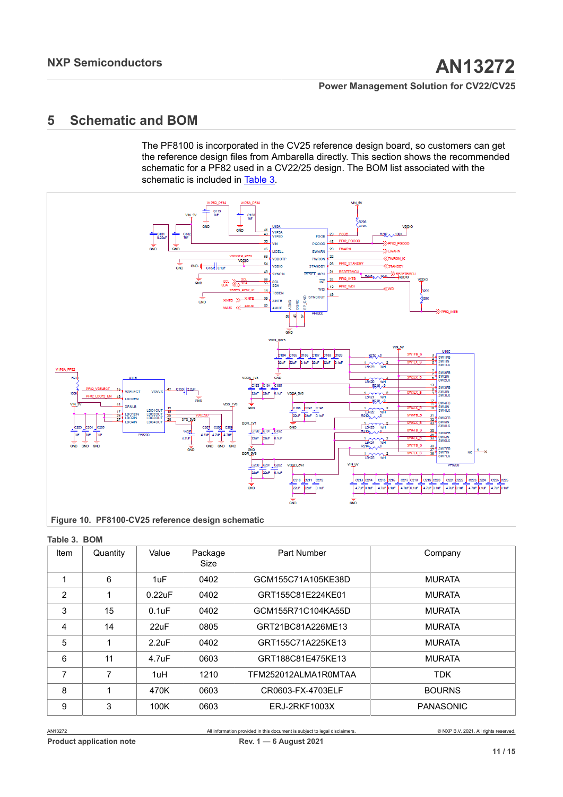## <span id="page-10-2"></span>**5 Schematic and BOM**

<span id="page-10-1"></span>The PF8100 is incorporated in the CV25 reference design board, so customers can get the reference design files from Ambarella directly. This section shows the recommended schematic for a PF82 used in a CV22/25 design. The BOM list associated with the schematic is included in [Table](#page-10-0) 3.



<span id="page-10-0"></span>

| Table 3. BOM |          |                    |                 |                      |                  |
|--------------|----------|--------------------|-----------------|----------------------|------------------|
| Item         | Quantity | Value              | Package<br>Size | Part Number          | Company          |
| 1            | 6        | 1uF                | 0402            | GCM155C71A105KE38D   | <b>MURATA</b>    |
| 2            |          | 0.22uF             | 0402            | GRT155C81E224KE01    | <b>MURATA</b>    |
| 3            | 15       | $0.1$ u $F$        | 0402            | GCM155R71C104KA55D   | <b>MURATA</b>    |
| 4            | 14       | 22uF               | 0805            | GRT21BC81A226ME13    | <b>MURATA</b>    |
| 5            |          | 2.2uF              | 0402            | GRT155C71A225KE13    | <b>MURATA</b>    |
| 6            | 11       | 4.7 <sub>u</sub> F | 0603            | GRT188C81E475KE13    | <b>MURATA</b>    |
| 7            | 7        | 1uH                | 1210            | TFM252012ALMA1R0MTAA | <b>TDK</b>       |
| 8            |          | 470K               | 0603            | CR0603-FX-4703ELF    | <b>BOURNS</b>    |
| 9            | 3        | 100K               | 0603            | ERJ-2RKF1003X        | <b>PANASONIC</b> |

AN13272 All information provided in this document is subject to legal disclaimers. © NXP B.V. 2021. All rights reserved.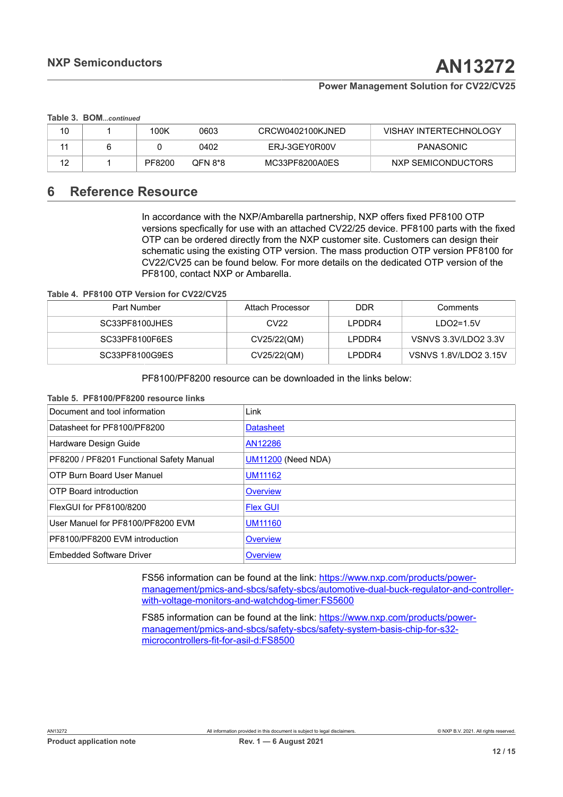#### **Table 3. BOM***...continued*

|  | 100K   | 0603    | CRCW0402100KJNED | <b>VISHAY INTERTECHNOLOGY</b> |
|--|--------|---------|------------------|-------------------------------|
|  |        | 0402    | ERJ-3GEY0R00V    | <b>PANASONIC</b>              |
|  | PF8200 | OFN 8*8 | MC33PF8200A0ES   | NXP SEMICONDUCTORS            |

## <span id="page-11-2"></span>**6 Reference Resource**

<span id="page-11-0"></span>In accordance with the NXP/Ambarella partnership, NXP offers fixed PF8100 OTP versions specfically for use with an attached CV22/25 device. PF8100 parts with the fixed OTP can be ordered directly from the NXP customer site. Customers can design their schematic using the existing OTP version. The mass production OTP version PF8100 for CV22/CV25 can be found below. For more details on the dedicated OTP version of the PF8100, contact NXP or Ambarella.

**Table 4. PF8100 OTP Version for CV22/CV25**

| Part Number    | Attach Processor | <b>DDR</b> | Comments              |
|----------------|------------------|------------|-----------------------|
| SC33PF8100JHES | CV <sub>22</sub> | I PDDR4    | $LDO2=1.5V$           |
| SC33PF8100F6ES | CV25/22(QM)      | LPDDR4     | VSNVS 3.3V/LDO2 3.3V  |
| SC33PF8100G9ES | CV25/22(QM)      | LPDDR4     | VSNVS 1.8V/LDO2 3.15V |

<span id="page-11-1"></span>PF8100/PF8200 resource can be downloaded in the links below:

#### **Table 5. PF8100/PF8200 resource links**

| Document and tool information            | Link                      |
|------------------------------------------|---------------------------|
| Datasheet for PF8100/PF8200              | <b>Datasheet</b>          |
| Hardware Design Guide                    | AN12286                   |
| PF8200 / PF8201 Functional Safety Manual | <b>UM11200</b> (Need NDA) |
| <b>OTP Burn Board User Manuel</b>        | <b>UM11162</b>            |
| <b>OTP Board introduction</b>            | Overview                  |
| FlexGUI for PF8100/8200                  | <b>Flex GUI</b>           |
| User Manuel for PF8100/PF8200 EVM        | <b>UM11160</b>            |
| PF8100/PF8200 EVM introduction           | <b>Overview</b>           |
| <b>Embedded Software Driver</b>          | <b>Overview</b>           |

FS56 information can be found at the link: [https://www.nxp.com/products/power](https://www.nxp.com/products/power-management/pmics-and-sbcs/safety-sbcs/automotive-dual-buck-regulator-and-controller-with-voltage-monitors-and-watchdog-timer:FS5600)[management/pmics-and-sbcs/safety-sbcs/automotive-dual-buck-regulator-and-controller](https://www.nxp.com/products/power-management/pmics-and-sbcs/safety-sbcs/automotive-dual-buck-regulator-and-controller-with-voltage-monitors-and-watchdog-timer:FS5600)[with-voltage-monitors-and-watchdog-timer:FS5600](https://www.nxp.com/products/power-management/pmics-and-sbcs/safety-sbcs/automotive-dual-buck-regulator-and-controller-with-voltage-monitors-and-watchdog-timer:FS5600)

FS85 information can be found at the link: [https://www.nxp.com/products/power](https://www.nxp.com/products/power-management/pmics-and-sbcs/safety-sbcs/safety-system-basis-chip-for-s32-microcontrollers-fit-for-asil-d:FS8500)[management/pmics-and-sbcs/safety-sbcs/safety-system-basis-chip-for-s32](https://www.nxp.com/products/power-management/pmics-and-sbcs/safety-sbcs/safety-system-basis-chip-for-s32-microcontrollers-fit-for-asil-d:FS8500) [microcontrollers-fit-for-asil-d:FS8500](https://www.nxp.com/products/power-management/pmics-and-sbcs/safety-sbcs/safety-system-basis-chip-for-s32-microcontrollers-fit-for-asil-d:FS8500)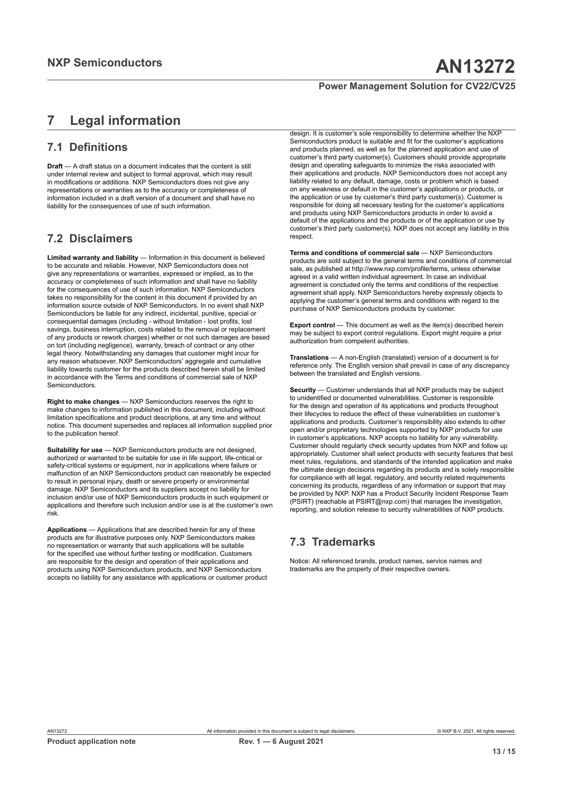## <span id="page-12-0"></span>**7 Legal information**

## **7.1 Definitions**

**Draft** — A draft status on a document indicates that the content is still under internal review and subject to formal approval, which may result in modifications or additions. NXP Semiconductors does not give any representations or warranties as to the accuracy or completeness of information included in a draft version of a document and shall have no liability for the consequences of use of such information.

## **7.2 Disclaimers**

**Limited warranty and liability** — Information in this document is believed to be accurate and reliable. However, NXP Semiconductors does not give any representations or warranties, expressed or implied, as to the accuracy or completeness of such information and shall have no liability for the consequences of use of such information. NXP Semiconductors takes no responsibility for the content in this document if provided by an information source outside of NXP Semiconductors. In no event shall NXP Semiconductors be liable for any indirect, incidental, punitive, special or consequential damages (including - without limitation - lost profits, lost savings, business interruption, costs related to the removal or replacement of any products or rework charges) whether or not such damages are based on tort (including negligence), warranty, breach of contract or any other legal theory. Notwithstanding any damages that customer might incur for any reason whatsoever, NXP Semiconductors' aggregate and cumulative liability towards customer for the products described herein shall be limited in accordance with the Terms and conditions of commercial sale of NXP **Semiconductors** 

**Right to make changes** — NXP Semiconductors reserves the right to make changes to information published in this document, including without limitation specifications and product descriptions, at any time and without notice. This document supersedes and replaces all information supplied prior to the publication hereof.

**Suitability for use** — NXP Semiconductors products are not designed, authorized or warranted to be suitable for use in life support, life-critical or safety-critical systems or equipment, nor in applications where failure or malfunction of an NXP Semiconductors product can reasonably be expected to result in personal injury, death or severe property or environmental damage. NXP Semiconductors and its suppliers accept no liability for inclusion and/or use of NXP Semiconductors products in such equipment or applications and therefore such inclusion and/or use is at the customer's own risk.

**Applications** — Applications that are described herein for any of these products are for illustrative purposes only. NXP Semiconductors makes no representation or warranty that such applications will be suitable for the specified use without further testing or modification. Customers are responsible for the design and operation of their applications and products using NXP Semiconductors products, and NXP Semiconductors accepts no liability for any assistance with applications or customer product

design. It is customer's sole responsibility to determine whether the NXP Semiconductors product is suitable and fit for the customer's applications and products planned, as well as for the planned application and use of customer's third party customer(s). Customers should provide appropriate design and operating safeguards to minimize the risks associated with their applications and products. NXP Semiconductors does not accept any liability related to any default, damage, costs or problem which is based on any weakness or default in the customer's applications or products, or the application or use by customer's third party customer(s). Customer is responsible for doing all necessary testing for the customer's applications and products using NXP Semiconductors products in order to avoid a default of the applications and the products or of the application or use by customer's third party customer(s). NXP does not accept any liability in this respect.

**Terms and conditions of commercial sale** — NXP Semiconductors products are sold subject to the general terms and conditions of commercial sale, as published at http://www.nxp.com/profile/terms, unless otherwise agreed in a valid written individual agreement. In case an individual agreement is concluded only the terms and conditions of the respective agreement shall apply. NXP Semiconductors hereby expressly objects to applying the customer's general terms and conditions with regard to the purchase of NXP Semiconductors products by customer.

**Export control** — This document as well as the item(s) described herein may be subject to export control regulations. Export might require a prior authorization from competent authorities.

**Translations** — A non-English (translated) version of a document is for reference only. The English version shall prevail in case of any discrepancy between the translated and English versions.

**Security** — Customer understands that all NXP products may be subject to unidentified or documented vulnerabilities. Customer is responsible for the design and operation of its applications and products throughout their lifecycles to reduce the effect of these vulnerabilities on customer's applications and products. Customer's responsibility also extends to other open and/or proprietary technologies supported by NXP products for use in customer's applications. NXP accepts no liability for any vulnerability. Customer should regularly check security updates from NXP and follow up appropriately. Customer shall select products with security features that best meet rules, regulations, and standards of the intended application and make the ultimate design decisions regarding its products and is solely responsible for compliance with all legal, regulatory, and security related requirements concerning its products, regardless of any information or support that may be provided by NXP. NXP has a Product Security Incident Response Team (PSIRT) (reachable at PSIRT@nxp.com) that manages the investigation, reporting, and solution release to security vulnerabilities of NXP products.

## **7.3 Trademarks**

Notice: All referenced brands, product names, service names and trademarks are the property of their respective owners.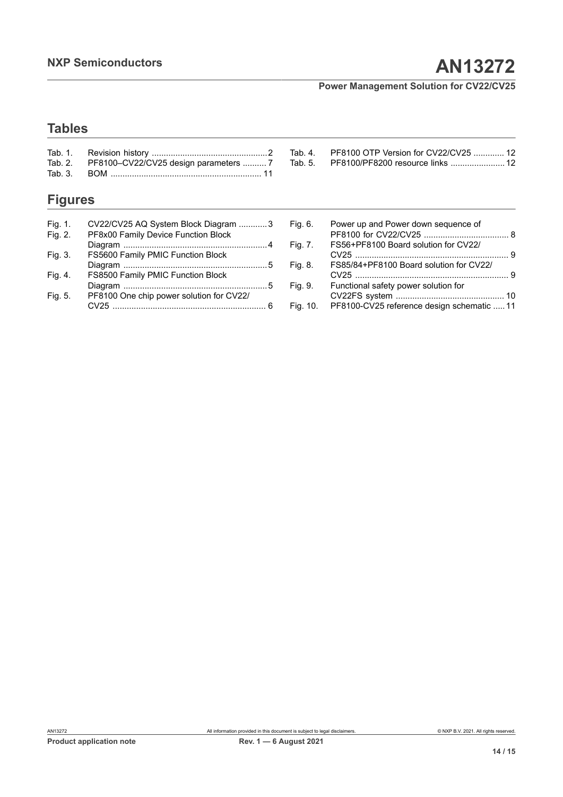[Tab.](#page-11-1) 5. [PF8100/PF8200 resource links .......................](#page-11-1) 12

## **Tables**

| Tab. 2. PF8100-CV22/CV25 design parameters  7 |  |
|-----------------------------------------------|--|
|                                               |  |

## **Figures**

| Fig. 1.<br>Fig. 2. | CV22/CV25 AQ System Block Diagram 3<br>PF8x00 Family Device Function Block |  |
|--------------------|----------------------------------------------------------------------------|--|
|                    |                                                                            |  |
| Fig. 3.            | FS5600 Family PMIC Function Block                                          |  |
|                    |                                                                            |  |
| Fig. 4.            | FS8500 Family PMIC Function Block                                          |  |
|                    |                                                                            |  |
| Fig. 5.            | PF8100 One chip power solution for CV22/                                   |  |
|                    |                                                                            |  |

| Fig. 6. | Power up and Power down sequence of     |     |
|---------|-----------------------------------------|-----|
|         |                                         |     |
| Fig. 7. | FS56+PF8100 Board solution for CV22/    |     |
|         |                                         |     |
| Fig. 8. | FS85/84+PF8100 Board solution for CV22/ |     |
|         |                                         | - q |
| Fig. 9. | Functional safety power solution for    |     |
|         |                                         |     |
|         |                                         |     |

[Tab.](#page-11-0) 4. PF8100 OTP Version for [CV22/CV25](#page-11-0) ............. 12

[Fig. 10.](#page-10-1) [PF8100-CV25 reference design schematic .....11](#page-10-1)